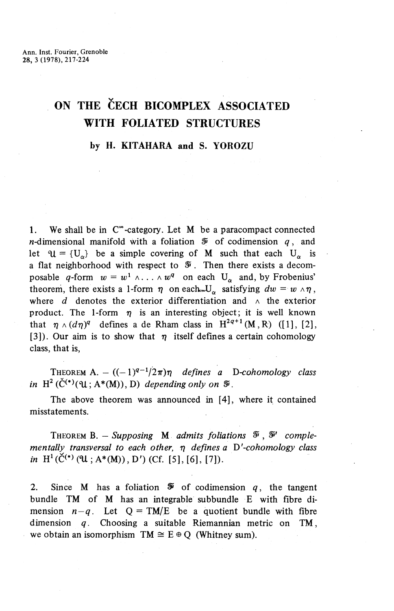## **ON THE ČECH BICOMPLEX ASSOCIATED WITH FOLIATED STRUCTURES**

## **by H. KITAHARA and S. YOROZU**

1. We shall be in  $\mathbb{C}^{\infty}$ -category. Let M be a paracompact connected *n*-dimensional manifold with a foliation  $\tilde{\mathcal{F}}$  of codimension  $q$ , and let  $\mathfrak{U} = \{U^{\alpha}\}\$  be a simple covering of M such that each  $U^{\alpha}$  is a flat neighborhood with respect to  $\mathcal V$ . Then there exists a decomposable q-form  $w = w^1 \wedge \ldots \wedge w^q$  on each  $U_\alpha$  and, by Frobenius' theorem, there exists a 1-form  $\eta$  on each  $U_{\alpha}$  satisfying  $dw = w \wedge \eta$ , where  $d$  denotes the exterior differentiation and  $\wedge$  the exterior product. The 1-form  $\eta$  is an interesting object; it is well known that  $\eta \wedge (d\eta)^q$  defines a de Rham class in  $H^{2q+1}(M,R)$  ([1], [2], [3]). Our aim is to show that  $\eta$  itself defines a certain cohomology class, that is,

THEOREM A.  $((-1)^{q-1}/2\pi)\eta$  defines a D-cohomology class *in*  $H^2(\check{C}^{(*)}(\mathfrak{U}; A^*(M)), D)$  *depending only on*  $\mathfrak{F}$ *.* 

The above theorem was announced in [4], where it contained misstatements.

THEOREM B. - Supposing M admits foliations  $\mathcal{F}$ ,  $\mathcal{F}'$  comple*men tally transversal to each other,* 17 *defines a D'-cohomology class in*  $H^1(\check{C}^{(*)}(\mathfrak{U}; A^*(M)), D')$  (Cf. [5], [6], [7]).

2. Since M has a foliation  $\mathcal V$  of codimension q, the tangent bundle TM of M has an integrable subbundle E with fibre dimension  $n-q$ . Let  $Q = TM/E$  be a quotient bundle with fibre dimension *q.* Choosing a suitable Riemannian metric on TM, we obtain an isomorphism  $TM \cong E \oplus Q$  (Whitney sum).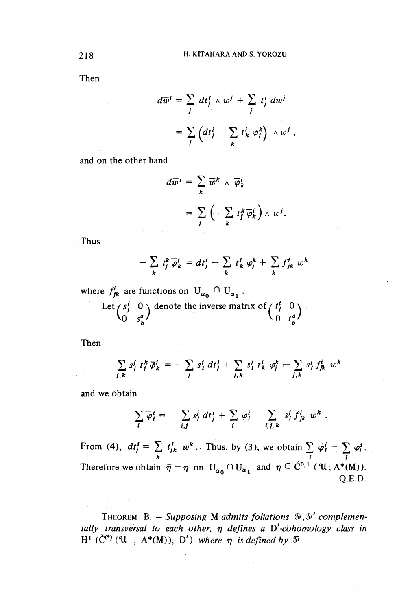Then

$$
d\overline{w}^i = \sum_j dt_j^i \wedge w^j + \sum_j t_j^i dw^j
$$
  
= 
$$
\sum_j \left(dt_j^i - \sum_k t_k^i \varphi_j^k\right) \wedge w^j,
$$

and on the other hand

$$
d\overline{w}^i = \sum_k \overline{w}^k \wedge \overline{\varphi}^i_k
$$
  
= 
$$
\sum_j \left( - \sum_k t^k_j \overline{\varphi}^i_k \right) \wedge w^j.
$$

Thus

$$
-\sum_{k} t_{j}^{k} \overline{\varphi}_{k}^{i} = dt_{j}^{i} - \sum_{k} t_{k}^{i} \varphi_{j}^{k} + \sum_{k} f_{jk}^{i} w^{k}
$$

where  $f_{jk}^i$  are functions on  $U_{\alpha_0} \cap U_{\alpha_1}$ .

Let 
$$
\begin{pmatrix} s_i^i & 0 \\ 0 & s_b^a \end{pmatrix}
$$
 denote the inverse matrix of  $\begin{pmatrix} t_i^i & 0 \\ 0 & t_b^a \end{pmatrix}$ .

Then

$$
\sum_{j,k} s_i^j t_j^k \overline{\varphi}_k^i = -\sum_j s_i^j dt_j^i + \sum_{j,k} s_i^j t_k^i \varphi_j^k - \sum_{j,k} s_i^j f_{jk}^i w^k
$$
  
obtain  

$$
\sum_i \overline{\varphi}_i^i = -\sum_{i,j} s_i^j dt_j^i + \sum_i \varphi_i^i - \sum_{i,j,k} s_i^j f_{jk}^i w^k.
$$

and we obtain

$$
\sum_{i} \overline{\varphi}_{i}^{i} = -\sum_{i,j} s_{i}^{j} dt_{j}^{i} + \sum_{i} \varphi_{i}^{i} - \sum_{i,j,k} s_{i}^{j} f_{jk}^{i} w^{k}
$$

From (4),  $dt_j^i = \sum t_{jk}^i w^k$ .. Thus, by (3), we obtain  $\sum \overline{\varphi}_i^i = \sum \varphi_i^i$  $\frac{N}{k}$   $\frac{N}{i}$   $\frac{N}{i}$   $\frac{N}{i}$   $\frac{N}{i}$   $\frac{N}{i}$   $\frac{N}{i}$   $\frac{N}{i}$ Therefore we obtain  $\overline{\eta} = \eta$  on  $U_{\alpha_0} \cap U_{\alpha_1}$  and  $\eta \in \check{C}^{0,1}$  (  $\mathfrak{U}; A^*(M)$ ). Q.E.D.

THEOREM B. — *Supposing* M *admits foliations* ^,^' *complementally transversal to each other,* 17 *defines a D'-cohomology class in*  $\mathbb{H}^1$  ( $\check{C}^{(*)}$  (U ; A\*(M)), D') where  $\eta$  is defined by  $\mathcal{F}$ .

218 How the contract of the contract of the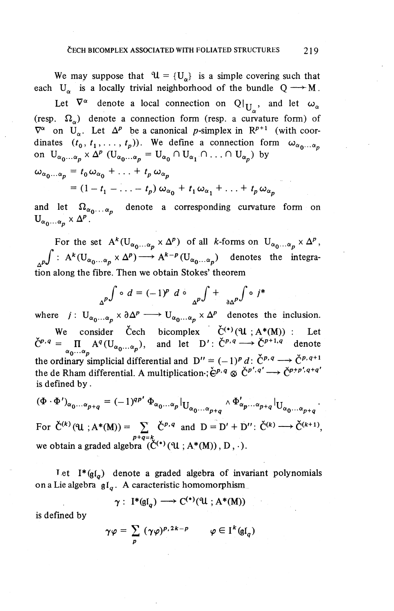We may suppose that  $\mathcal{U} = \{U_{\alpha}\}\$ is a simple covering such that each  $U_{\alpha}$  is a locally trivial neighborhood of the bundle  $Q \rightarrow M$ .

Let  $\nabla^{\alpha}$  denote a local connection on  $Q|_{U_{\alpha}}$ , and let  $\omega_{\alpha}$ (resp.  $\Omega_{\alpha}$ ) denote a connection form (resp. a curvature form) of  $\nabla^{\alpha}$  on  $\mathbf{U}_{\alpha}$ . Let  $\Delta^{p}$  be a canonical p-simplex in  $\mathbb{R}^{p+1}$  (with coordinates  $(t_0, t_1, \ldots, t_p)$ ). We define a connection form  $\omega_{\alpha_0 \ldots \alpha_n}$ on  $U_{\alpha_0...\alpha_n} \times \Delta^p$  ( $U_{\alpha_0...\alpha_n} = U_{\alpha_0} \cap U_{\alpha_1} \cap ... \cap U_{\alpha_n}$ ) by

$$
\omega_{\alpha_0...\alpha_p} = t_0 \omega_{\alpha_0} + \ldots + t_p \omega_{\alpha_p}
$$
  
=  $(1 - t_1 - \ldots - t_p) \omega_{\alpha_0} + t_1 \omega_{\alpha_1} + \ldots + t_p \omega_{\alpha_p}$ 

and let  $\Omega_{\alpha_0 \ldots \alpha_n}$  denote a corresponding curvature form on  $U_{\alpha_0...\alpha_n}\times \Delta^p$ .

For the set  $A^{k}(U_{\alpha_0... \alpha_p} \times \Delta^p)$  of all k-forms on  $U_{\alpha_0...\alpha_p} \times \Delta^p$ ,  $f: A^{k}(U_{\alpha_{0}...\alpha_{p}} \times \Delta^{p}) \longrightarrow A^{k-p}(U_{\alpha_{0}...\alpha_{p}})$  denotes the integration along the fibre. Then we obtain Stokes' theorem

$$
\int_{\Delta^P} \int \circ d = (-1)^P \ d \circ \int_{\Delta^P} \int + \int_{\partial \Delta^P} \int \circ j^*
$$

where  $j: U_{\alpha_0 \ldots \alpha_n} \times \partial \Delta^p \longrightarrow U_{\alpha_0 \ldots \alpha_n} \times \Delta^p$  denotes the inclusion. We consider Cech bicomplex  $\check{C}^{(*)}(U;A^*(M))$  : Let  $\check{C}^{p,q} = \prod_{\alpha_0 \cdots \alpha_p} A^q(U_{\alpha_0 \cdots \alpha_p})$ , and let  $D'$ :  $\check{C}^{p,q} \longrightarrow \check{C}^{p+1,q}$  denote the ordinary simplicial differential and  $D'' = (-1)^p d: \check{C}^{p,q} \longrightarrow \check{C}^{p,q+1}$ the de Rham differential. A multiplication-;  $\check{\mathbf{C}}^{p,q} \otimes \check{\mathbf{C}}^{p',q'} \longrightarrow \check{\mathbf{C}}^{p+p',q+q'}$ is defined by.

 $(\Phi \cdot \Phi')_{\alpha_0...\alpha_{p+q}} = (-1)^{qp'} \Phi_{\alpha_0...\alpha_p}|_{U_{\alpha_0...\alpha_{p+q}}} \wedge \Phi'_{\alpha_p...\alpha_{p+q}}|_{U_{\alpha_0...\alpha_{p+q}}}.$ For  $\check{C}^{(k)}(\mathfrak{U};A^*(M)) = \sum_{k=0}^{\infty} \check{C}^{p,q}$  and  $D = D' + D''$ :  $\check{C}^{(k)} \longrightarrow \check{C}^{(k+1)}$ , we obtain a graded algebra  $(\check{C}^{(*)}(\mathfrak{U}; A^*(M)), D, \cdot)$ .

Let  $I^*(gl_a)$  denote a graded algebra of invariant polynomials on a Lie algebra  $\mathfrak{gl}_a$ . A caracteristic homomorphism

$$
\gamma: I^*(\mathfrak{gl}_q) \longrightarrow C^{(*)}(\mathfrak{A}; A^*(M))
$$

is defined by

$$
\gamma \varphi = \sum_{p} (\gamma \varphi)^{p, 2k - p} \qquad \varphi \in I^{k}(\mathfrak{gl}_{q})
$$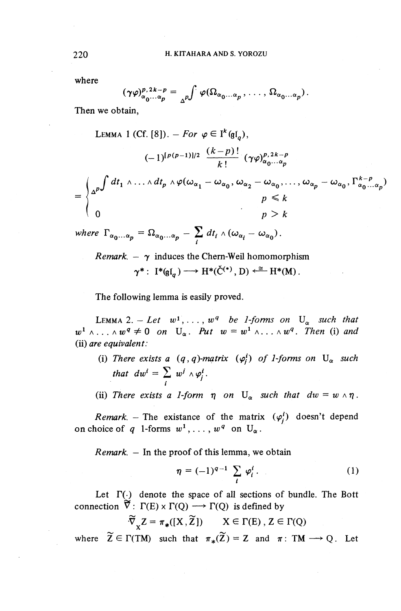where

$$
(\gamma \varphi)_{\alpha_0 \cdots \alpha_p}^{p, 2k-p} = {\,}_{\Delta^p} \int \varphi(\Omega_{\alpha_0 \cdots \alpha_p}, \ldots, \Omega_{\alpha_0 \cdots \alpha_p}).
$$

Then we obtain,

LEMMA 1 (Cf. [8]). – For 
$$
\varphi \in I^k(\mathfrak{gl}_q)
$$
,  
\n
$$
(-1)^{[p(p-1)]/2} \frac{(k-p)!}{k!} (\gamma \varphi)_{\alpha_0 \dots \alpha_p}^{p, 2k-p}
$$
\n
$$
= \begin{cases} \frac{\alpha^{p}}{\sigma} \int dt_1 \wedge \dots \wedge dt_p \wedge \varphi(\omega_{\alpha_1} - \omega_{\alpha_0}, \omega_{\alpha_2} - \omega_{\alpha_0}, \dots, \omega_{\alpha_p} - \omega_{\alpha_0}, \Gamma_{\alpha_0 \dots \alpha_p}^{k-p} \end{cases}
$$
\nwhere  $\Gamma_{\alpha_0 \dots \alpha_p} = \Omega_{\alpha_0 \dots \alpha_p} - \sum_{i} dt_i \wedge (\omega_{\alpha_i} - \omega_{\alpha_0})$ .

*Remark. –*  $\gamma$  *induces the Chern-Weil homomorphism*  $\gamma^*: I^*(\mathfrak{gl}_a)\longrightarrow H^*(\check{C}^{(*)},D)\stackrel{\cong}{\longleftarrow}H^*(M).$ 

The following lemma is easily proved.

**LEMMA 2.** – Let w  $w^1, \ldots, w^q$  be 1-forms on  $U^o$  such that  $w^1 \wedge \ldots \wedge w^q \neq 0$  on  $U_\alpha$ . Put  $w = w^1 \wedge \ldots \wedge w^q$ . Then (i) and (ii) *are equivalent:*

- (i) There exists a  $(q, q)$ -matrix  $(\varphi_i^i)$  of 1-forms on  $U_\alpha$  such that  $dw^i = \sum w^j \wedge \varphi_i^i$ .
- (ii) There exists a 1-form  $\eta$  on  $U_{\alpha}$  such that  $dw = w \wedge \eta$ .

*Remark.* - The existance of the matrix  $(\varphi_i^i)$  doesn't depend on choice of q 1-forms  $w^1, \ldots, w^q$  on  $U_\alpha$ .

*Remark. —* In the proof of this lemma, we obtain

$$
\eta = (-1)^{q-1} \sum_{i} \varphi_i^i. \qquad (1)
$$

Let  $\Gamma(\cdot)$  denote the space of all sections of bundle. The Bott connection  $\tilde{\nabla}$ :  $\Gamma(E) \times \Gamma(Q) \longrightarrow \Gamma(Q)$  is defined by

$$
\widetilde{\nabla}_X Z = \pi_*([X, \widetilde{Z}]) \qquad X \in \Gamma(E), Z \in \Gamma(Q)
$$

where  $\widetilde{Z} \in \Gamma(TM)$  such that  $\pi_*(\widetilde{Z}) = Z$  and  $\pi : TM \longrightarrow Q$ . Let

220<sup>H</sup>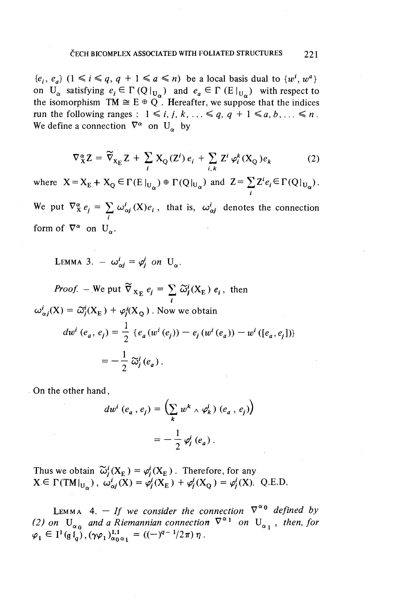$\{e_i, e_a\}$   $(1 \le i \le q, q + 1 \le a \le n)$  be a local basis dual to  $\{w^i, w^a\}$ on  $U_\alpha$  satisfying  $e_i \in \Gamma(Q|_{U_\alpha})$  and  $e_a \in \Gamma(E|_{U_\alpha})$  with respect to the isomorphism  $TM \cong E \oplus Q$ . Hereafter, we suppose that the indices run the following ranges :  $1 \leq i, j, k, \ldots \leq q, q + 1 \leq a, b, \ldots \leq n$ . Fun the following ranges  $X = \{x, y, \kappa\}$ <br>We define a connection  $\nabla^{\alpha}$  on U<sub>n</sub> by

$$
\nabla_{\mathbf{X}}^{\alpha} \mathbf{Z} = \widetilde{\nabla}_{\mathbf{X}_{\mathbf{E}}} \mathbf{Z} + \sum_{i} \mathbf{X}_{\mathbf{Q}}(\mathbf{Z}^{i}) e_{i} + \sum_{i,k} \mathbf{Z}^{i} \varphi_{i}^{k}(\mathbf{X}_{\mathbf{Q}}) e_{k}
$$
(2)

where  $X = X_F + X_O \in \Gamma(E|_H) \oplus \Gamma(Q|_H)$  and  $Z = \sum Z^i e_i \in \Gamma(Q|_H)$ . / We put  $\nabla^{\alpha}_{\mathbf{X}} e_j = \sum_i \omega_{\alpha j}^i(\mathbf{X})e_i$ , that is,  $\omega_{\alpha j}^i$  denotes the connection form of  $\nabla^{\alpha}$  on  $U_{\alpha}$ .

LEMMA 3.  $-\omega_{\alpha i}^i = \varphi_i^i$  on  $U_{\alpha}$ .

*Proof.* – We put  $\widetilde{\nabla}_{X_E} e_j = \sum_i \widetilde{\omega}_j^i(X_E) e_i$ , the  $\omega^i_{\alpha j}(X) = \tilde{\omega}^i_j(X_E) + \varphi^i_j(X_O)$ . Now we obtain  $dw^{i}(e_{a}, e_{j}) = \frac{1}{2} \{e_{a}(w^{i}(e_{j})) - e_{j}(w^{i}(e_{a})) - w^{i}([e_{a}, e_{j}])\}$  $=-\frac{1}{2}\widetilde{\omega}_{j}^{i}\left(e_{a}\right).$ 

On the other hand,

$$
dw^{i}(e_{a}, e_{j}) = \left(\sum_{k} w^{k} \wedge \varphi_{k}^{i} \right) (e_{a}, e_{j})
$$

$$
= -\frac{1}{2} \varphi_{j}^{i} (e_{a}).
$$

Thus we obtain  $\widetilde{\omega}^i_j(X_E) = \varphi^i_j(X_E)$ . Therefore, for any  $\text{X} \in \Gamma(\text{TMI}_{\text{U}_\alpha})\,, \; \omega^i_{\alpha j}(\text{X}) = \varphi^i_j(\text{X}_\text{E}) + \varphi^i_j(\text{X}_\text{Q}) = \varphi^i_j(\text{X})\!. \;\; \text{Q.E.D}.$ 

LEMMA 4.  $-$  *If we consider the connection*  $\nabla^{\alpha}$ <sup>0</sup> *defined b* (2) on  $U^{\circ}$  and a Riemannian connection  $\nabla^{\alpha_1}$  on  $U^{\circ}$ , then, for (2) on  $U_{\alpha_0}$  and a Riemannian connection  $V^{\alpha_1}$  on U<br>  $\varphi_1 \in I^1(\mathfrak{gl}_\alpha)$ ,  $(\gamma \varphi_1)_{\alpha_0 \alpha_1}^{1,1} = ((-\gamma^q)^{q-1}/2\pi) \eta$ .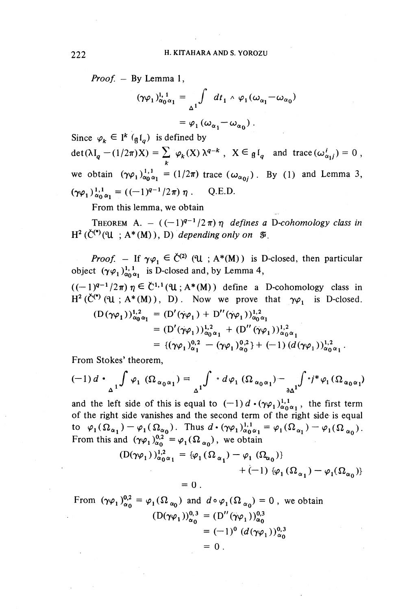*Proof. —* By Lemma 1,

By Lemma 1,  
\n
$$
(\gamma \varphi_1)_{\alpha_0 \alpha_1}^{1,1} = \int_{\Delta^1} dt_1 \wedge \varphi_1(\omega_{\alpha_1} - \omega_{\alpha_0})
$$
\n
$$
= \varphi_1(\omega_{\alpha_1} - \omega_{\alpha_0}).
$$

Since  $\varphi_k \in \mathfrak{l}^k$  (g(g) is defined by  $\det(\lambda I_q - (1/2\pi)X) = \sum \varphi_k(X) \lambda^{q-k}$ ,  $X \in \mathfrak{gl}_q$  and trace  $(\omega_{\alpha_1 j}^i) = 0$ , we obtain  $(\gamma \varphi_1)_{\alpha_0 \alpha_1}^{1,1} = (1/2\pi)$  trace  $(\omega_{\alpha_0})$ . By (1) and Lemma 3,  $(\gamma \varphi_1)_{\alpha_0 \alpha_1}^{1,1} = ((-1)^{q-1}/2\pi) \eta$  . Q.E.D.

From this lemma, we obtain

From this lemma, we do<br>THEOREM A.  $((-1)^{q-1})$  $\int$ <sup>1</sup>/2 $\pi$ ) $\eta$  defines a D-cohomology class in  $H^2(\check{C}^{(*)}(\mathfrak{U}; A^*(M)), D)$  *depending only on*  $\mathfrak{F}$ .

*Proof.* – If  $\gamma \varphi_1 \in \check{C}^{(2)}$  (U ; A\*(M)) is D-closed, then particular object  $(\gamma \varphi_1)_{\alpha_0 \alpha_1}^{1,1}$  is D-closed and, by Lemma 4,

 $((-1)^{q-1}/2\pi)\eta \in \check{C}^{1,1}(\mathfrak{U};A^*(M))$  define a D-cohomology class in  $H^2(\check{C}^{\bullet})$  (u ; A\*(M)), D). Now we prove that  $\gamma \varphi_1$  is D-closed.

$$
(D(\gamma\varphi_1))_{\alpha_0\alpha_1}^{1,2} = (D'(\gamma\varphi_1) + D''(\gamma\varphi_1))_{\alpha_0\alpha_1}^{1,2}
$$
  
=  $(D'(\gamma\varphi_1))_{\alpha_0\alpha_1}^{1,2} + (D''(\gamma\varphi_1))_{\alpha_0\alpha_1}^{1,2}$   
=  $\{(\gamma\varphi_1)_{\alpha_1}^{0,2} - (\gamma\varphi_1)_{\alpha_0}^{0,2}\} + (-1) (d(\gamma\varphi_1))_{\alpha_0\alpha_1}^{1,2}.$ 

From Stokes' theorem,

$$
(-1) d \cdot \int_{\Delta^1} \int \varphi_1 (\Omega_{\alpha_0 \alpha_1}) = \int_{\Delta^1} \varphi_1 (\Omega_{\alpha_0 \alpha_1}) - \int_{\partial \Delta^1} \varphi_1 (\Omega_{\alpha_0 \alpha_1})
$$

and the left side of this is equal to  $(-1)$   $d \cdot (\gamma \varphi_1)_{\alpha_0 \alpha_1}^{1,1}$ , the first term of the right side vanishes and the second term of the right side is equal to  $\varphi_1(\Omega_{\alpha_1})-\varphi_1(\Omega_{\alpha_0})$ . Thus  $d \cdot (\gamma \varphi_1)^{1,1}_{\alpha_0 \alpha_1} = \varphi_1(\Omega_{\alpha_1})-\varphi_1(\Omega_{\alpha_0})$ From this and  $(\gamma \varphi_1)^{0,2} = \varphi_1(\Omega_{\alpha_0})$ . In us  $a \cdot (\gamma \varphi_1)^{0,0}_{\alpha_0 \alpha_1}$ <br>From this and  $(\gamma \varphi_1)^{0,2}_{\alpha_0} = \varphi_1(\Omega_{\alpha_0})$ , we obtain

$$
(D(\gamma \varphi_1))_{\alpha_0 \alpha_1}^{1,2} = {\varphi_1 (\Omega_{\alpha_1}) - \varphi_1 (\Omega_{\alpha_0})}
$$
  
+ (-1) {\varphi\_1 (\Omega\_{\alpha\_1}) - \varphi\_1 (\Omega\_{\alpha\_0})}  
= 0

From  $(\gamma \varphi_1)_{\alpha}^{0,2} = \varphi_1(\Omega_{\alpha_0})$  and  $d \circ \varphi_1(\Omega_{\alpha_0}) = 0$ , we obtain  $(D(\gamma\varphi_1))^{0,3}_{\alpha_0} = (D''(\gamma\varphi_1))^{0,3}_{\alpha_0}$  $= (-1)^{0} (d(\gamma \varphi_{1}))_{\alpha}^{0}$  $= 0$ .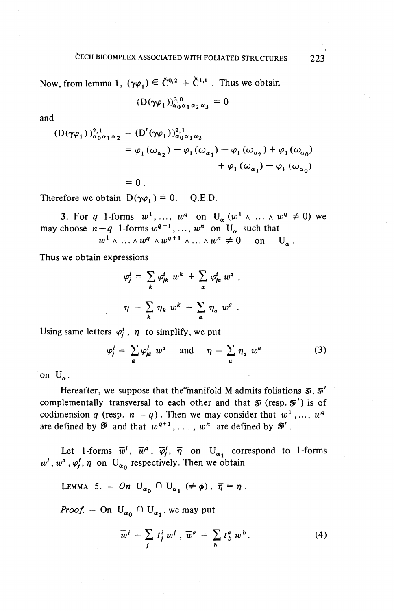Now, from lemma 1,  $(\gamma \varphi_1) \in C^{0,2} + C^{1,1}$ . Thus we obtain

$$
(D(\gamma\varphi_1))_{\alpha_0\alpha_1\alpha_2\alpha_3}^{3,0}=0
$$

and

$$
(D(\gamma\varphi_1))_{\alpha_0\alpha_1\alpha_2}^{2,1} = (D'(\gamma\varphi_1))_{\alpha_0\alpha_1\alpha_2}^{2,1}
$$
  
=  $\varphi_1(\omega_{\alpha_2}) - \varphi_1(\omega_{\alpha_1}) - \varphi_1(\omega_{\alpha_2}) + \varphi_1(\omega_{\alpha_0})$   
+  $\varphi_1(\omega_{\alpha_1}) - \varphi_1(\omega_{\alpha_0})$ 

Therefore we obtain  $D(\gamma \varphi_1) = 0$ . Q.E.D.

 $= 0.$ 

3. For *q* 1-forms  $w^1, ..., w^q$  on  $U_{\alpha} (w^1 \wedge ... \wedge w^q \neq 0)$  we may choose  $n-q$  1-forms  $w^{q+1}, \ldots, w^n$  on  $U_\alpha$  such that

Thus we obtain expressions

$$
w^{1} \wedge ... \wedge w^{q} \wedge w^{q+1} \wedge ... \wedge w^{n} \neq 0 \quad \text{on} \quad \mathbb{U}
$$
  
\nn expressions  
\n
$$
\varphi_{j}^{i} = \sum_{k} \varphi_{jk}^{i} w^{k} + \sum_{a} \varphi_{ja}^{i} w^{a},
$$
  
\n
$$
\eta = \sum_{k} \eta_{k} w^{k} + \sum_{a} \eta_{a} w^{a}.
$$

Using same letters  $\varphi^i_j$ ,  $\eta$  to simplify, we put

$$
\varphi_j^i = \sum_a \varphi_{ja}^i w^a \quad \text{and} \quad \eta = \sum_a \eta_a w^a \tag{3}
$$

on  $U_{\alpha}$ .

Hereafter, we suppose that the manifold M admits foliations  $\tilde{x}$ ,  $\tilde{x}'$ complementally transversal to each other and that  $\mathcal{F}$  (resp.  $\mathcal{F}'$ ) is of complementally transversal to each other and that  $\mathcal{F}$  (resp<br>codimension q (resp.  $n - q$ ). Then we may consider that u  $v^{1}$ , ..., w codimension q (resp.  $n - q$ ). Then we may consider that w<br>are defined by  $\mathcal{F}$  and that  $w^{q+1}, \ldots, w^n$  are defined by  $\mathcal{F}'$ 

Let 1-forms  $\overline{w}^i$ ,  $\overline{w}^a$ ,  $\overline{\varphi}^i$ ,  $\overline{\eta}$  on U<sub>n</sub> correspond to 1-form  $w^i$ ,  $w^a$ ,  $\omega^i$ , n on U<sub>n</sub> respectively. Then we obtain

LEMMA 5. - On  $U_{\alpha_0} \cap U_{\alpha_1} \neq \phi$ ,  $\overline{\eta} = \eta$ .

*Proof.* - On  $U_{\alpha_0} \cap U_{\alpha_1}$ , we may put

$$
\overline{w}^i = \sum_j t_j^i w^j, \overline{w}^a = \sum_b t_b^a w^b.
$$
 (4)